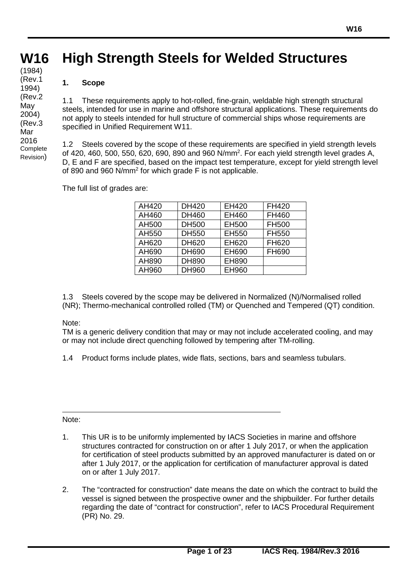# **W16 W16 High Strength Steels for Welded Structures**

# **1. Scope**

**(cont)** (1984)

(Rev.1 1994) (Rev.2 May 2004) (Rev.3 Mar 2016 Complete Revision)

1.1 These requirements apply to hot-rolled, fine-grain, weldable high strength structural steels, intended for use in marine and offshore structural applications. These requirements do not apply to steels intended for hull structure of commercial ships whose requirements are specified in Unified Requirement W11.

1.2 Steels covered by the scope of these requirements are specified in yield strength levels of 420, 460, 500, 550, 620, 690, 890 and 960  $N/mm^2$ . For each yield strength level grades A, D, E and F are specified, based on the impact test temperature, except for yield strength level of 890 and 960 N/mm2 for which grade F is not applicable.

The full list of grades are:

| AH420 | <b>DH420</b> | EH420 | FH420 |
|-------|--------------|-------|-------|
| AH460 | DH460        | EH460 | FH460 |
| AH500 | <b>DH500</b> | EH500 | FH500 |
| AH550 | <b>DH550</b> | EH550 | FH550 |
| AH620 | DH620        | EH620 | FH620 |
|       |              |       |       |
| AH690 | DH690        | EH690 | FH690 |
| AH890 | DH890        | EH890 |       |
| AH960 | DH960        | EH960 |       |

1.3 Steels covered by the scope may be delivered in Normalized (N)/Normalised rolled (NR); Thermo-mechanical controlled rolled (TM) or Quenched and Tempered (QT) condition.

## Note:

TM is a generic delivery condition that may or may not include accelerated cooling, and may or may not include direct quenching followed by tempering after TM-rolling.

1.4 Product forms include plates, wide flats, sections, bars and seamless tubulars.

Note:

- 1. This UR is to be uniformly implemented by IACS Societies in marine and offshore structures contracted for construction on or after 1 July 2017, or when the application for certification of steel products submitted by an approved manufacturer is dated on or after 1 July 2017, or the application for certification of manufacturer approval is dated on or after 1 July 2017.
- 2. The "contracted for construction" date means the date on which the contract to build the vessel is signed between the prospective owner and the shipbuilder. For further details regarding the date of "contract for construction", refer to IACS Procedural Requirement (PR) No. 29.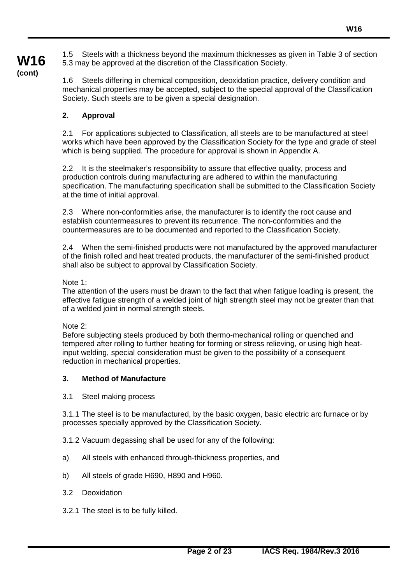1.5 Steels with a thickness beyond the maximum thicknesses as given in Table 3 of section 5.3 may be approved at the discretion of the Classification Society.

**W16 (cont)**

1.6 Steels differing in chemical composition, deoxidation practice, delivery condition and mechanical properties may be accepted, subject to the special approval of the Classification Society. Such steels are to be given a special designation.

# **2. Approval**

2.1 For applications subjected to Classification, all steels are to be manufactured at steel works which have been approved by the Classification Society for the type and grade of steel which is being supplied. The procedure for approval is shown in Appendix A.

2.2 It is the steelmaker's responsibility to assure that effective quality, process and production controls during manufacturing are adhered to within the manufacturing specification. The manufacturing specification shall be submitted to the Classification Society at the time of initial approval.

2.3 Where non-conformities arise, the manufacturer is to identify the root cause and establish countermeasures to prevent its recurrence. The non-conformities and the countermeasures are to be documented and reported to the Classification Society.

2.4 When the semi-finished products were not manufactured by the approved manufacturer of the finish rolled and heat treated products, the manufacturer of the semi-finished product shall also be subject to approval by Classification Society.

#### Note 1:

The attention of the users must be drawn to the fact that when fatigue loading is present, the effective fatigue strength of a welded joint of high strength steel may not be greater than that of a welded joint in normal strength steels.

Note 2:

Before subjecting steels produced by both thermo-mechanical rolling or quenched and tempered after rolling to further heating for forming or stress relieving, or using high heatinput welding, special consideration must be given to the possibility of a consequent reduction in mechanical properties.

## **3. Method of Manufacture**

3.1 Steel making process

3.1.1 The steel is to be manufactured, by the basic oxygen, basic electric arc furnace or by processes specially approved by the Classification Society.

3.1.2 Vacuum degassing shall be used for any of the following:

- a) All steels with enhanced through-thickness properties, and
- b) All steels of grade H690, H890 and H960.
- 3.2 Deoxidation
- 3.2.1 The steel is to be fully killed.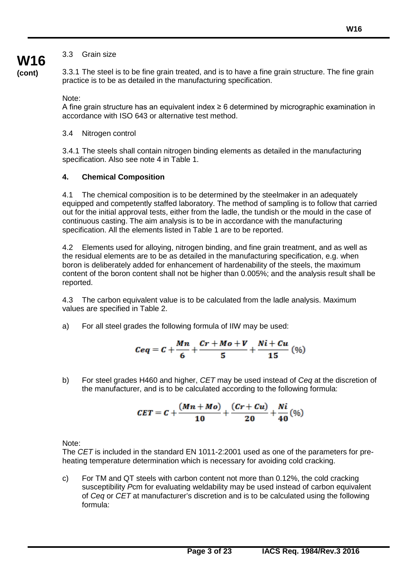# 3.3 Grain size

**(cont)**

**W16**

3.3.1 The steel is to be fine grain treated, and is to have a fine grain structure. The fine grain practice is to be as detailed in the manufacturing specification.

Note:

A fine grain structure has an equivalent index  $\geq 6$  determined by micrographic examination in accordance with ISO 643 or alternative test method.

3.4 Nitrogen control

3.4.1 The steels shall contain nitrogen binding elements as detailed in the manufacturing specification. Also see note 4 in Table 1.

# **4. Chemical Composition**

4.1 The chemical composition is to be determined by the steelmaker in an adequately equipped and competently staffed laboratory. The method of sampling is to follow that carried out for the initial approval tests, either from the ladle, the tundish or the mould in the case of continuous casting. The aim analysis is to be in accordance with the manufacturing specification. All the elements listed in Table 1 are to be reported.

4.2 Elements used for alloying, nitrogen binding, and fine grain treatment, and as well as the residual elements are to be as detailed in the manufacturing specification, e.g. when boron is deliberately added for enhancement of hardenability of the steels, the maximum content of the boron content shall not be higher than 0.005%; and the analysis result shall be reported.

4.3 The carbon equivalent value is to be calculated from the ladle analysis. Maximum values are specified in Table 2.

a) For all steel grades the following formula of IIW may be used:

$$
Ceq = C + \frac{Mn}{6} + \frac{Cr + Mo + V}{5} + \frac{Ni + Cu}{15} (%)
$$

b) For steel grades H460 and higher, *CET* may be used instead of *Ceq* at the discretion of the manufacturer, and is to be calculated according to the following formula:

$$
CET = C + \frac{(Mn + Mo)}{10} + \frac{(Cr + Cu)}{20} + \frac{Ni}{40}(\%)
$$

Note:

The *CET* is included in the standard EN 1011-2:2001 used as one of the parameters for preheating temperature determination which is necessary for avoiding cold cracking.

c) For TM and QT steels with carbon content not more than 0.12%, the cold cracking susceptibility *P*cm for evaluating weldability may be used instead of carbon equivalent of *Ceq* or *CET* at manufacturer's discretion and is to be calculated using the following formula: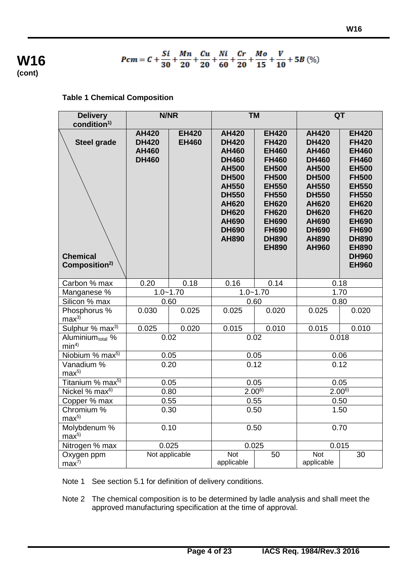

# $Pcm = C + \frac{Si}{30} + \frac{Mn}{20} + \frac{Cu}{20} + \frac{Ni}{60} + \frac{Cr}{20} + \frac{Mo}{15} + \frac{V}{10} + 5B \tag{%)}$

# **Table 1 Chemical Composition**

| <b>Delivery</b><br>condition <sup>1)</sup>                         |                                                              | N/NR                         |                                                                                                                                                                                                              | <b>TM</b>                                                                                                                                                                                                                    |                                                                                                                                                                                                                              | QT                                                                                                                                                                                                                                                           |  |
|--------------------------------------------------------------------|--------------------------------------------------------------|------------------------------|--------------------------------------------------------------------------------------------------------------------------------------------------------------------------------------------------------------|------------------------------------------------------------------------------------------------------------------------------------------------------------------------------------------------------------------------------|------------------------------------------------------------------------------------------------------------------------------------------------------------------------------------------------------------------------------|--------------------------------------------------------------------------------------------------------------------------------------------------------------------------------------------------------------------------------------------------------------|--|
| <b>Steel grade</b><br><b>Chemical</b><br>Composition <sup>2)</sup> | <b>AH420</b><br><b>DH420</b><br><b>AH460</b><br><b>DH460</b> | <b>EH420</b><br><b>EH460</b> | <b>AH420</b><br><b>DH420</b><br><b>AH460</b><br><b>DH460</b><br><b>AH500</b><br><b>DH500</b><br><b>AH550</b><br><b>DH550</b><br><b>AH620</b><br><b>DH620</b><br><b>AH690</b><br><b>DH690</b><br><b>AH890</b> | <b>EH420</b><br><b>FH420</b><br><b>EH460</b><br><b>FH460</b><br><b>EH500</b><br><b>FH500</b><br><b>EH550</b><br><b>FH550</b><br><b>EH620</b><br><b>FH620</b><br><b>EH690</b><br><b>FH690</b><br><b>DH890</b><br><b>EH890</b> | <b>AH420</b><br><b>DH420</b><br><b>AH460</b><br><b>DH460</b><br><b>AH500</b><br><b>DH500</b><br><b>AH550</b><br><b>DH550</b><br><b>AH620</b><br><b>DH620</b><br><b>AH690</b><br><b>DH690</b><br><b>AH890</b><br><b>AH960</b> | <b>EH420</b><br><b>FH420</b><br><b>EH460</b><br><b>FH460</b><br><b>EH500</b><br><b>FH500</b><br><b>EH550</b><br><b>FH550</b><br><b>EH620</b><br><b>FH620</b><br><b>EH690</b><br><b>FH690</b><br><b>DH890</b><br><b>EH890</b><br><b>DH960</b><br><b>EH960</b> |  |
| Carbon % max                                                       | 0.20                                                         | 0.18                         | 0.16                                                                                                                                                                                                         | 0.14                                                                                                                                                                                                                         | 0.18                                                                                                                                                                                                                         |                                                                                                                                                                                                                                                              |  |
| Manganese %                                                        |                                                              | $1.0 - 1.70$                 | $1.0 - 1.70$                                                                                                                                                                                                 |                                                                                                                                                                                                                              |                                                                                                                                                                                                                              | 1.70                                                                                                                                                                                                                                                         |  |
| Silicon % max                                                      |                                                              | 0.60                         | 0.60                                                                                                                                                                                                         |                                                                                                                                                                                                                              | 0.80                                                                                                                                                                                                                         |                                                                                                                                                                                                                                                              |  |
| Phosphorus %<br>max <sup>3</sup>                                   | 0.030                                                        | 0.025                        | 0.025                                                                                                                                                                                                        | 0.020                                                                                                                                                                                                                        | 0.025                                                                                                                                                                                                                        | 0.020                                                                                                                                                                                                                                                        |  |
| Sulphur % max <sup>3)</sup>                                        | 0.025                                                        | 0.020                        | 0.015                                                                                                                                                                                                        | 0.010                                                                                                                                                                                                                        | 0.015                                                                                                                                                                                                                        | 0.010                                                                                                                                                                                                                                                        |  |
| Aluminium <sub>total</sub> %<br>min <sup>4</sup>                   |                                                              | 0.02                         | 0.02                                                                                                                                                                                                         |                                                                                                                                                                                                                              | 0.018                                                                                                                                                                                                                        |                                                                                                                                                                                                                                                              |  |
| Niobium % max <sup>5)</sup>                                        |                                                              | 0.05                         | 0.05                                                                                                                                                                                                         |                                                                                                                                                                                                                              | 0.06                                                                                                                                                                                                                         |                                                                                                                                                                                                                                                              |  |
| Vanadium %<br>max <sup>5</sup>                                     |                                                              | 0.20                         | 0.12                                                                                                                                                                                                         |                                                                                                                                                                                                                              | 0.12                                                                                                                                                                                                                         |                                                                                                                                                                                                                                                              |  |
| Titanium % max <sup>5)</sup>                                       |                                                              | 0.05                         | 0.05                                                                                                                                                                                                         |                                                                                                                                                                                                                              | 0.05                                                                                                                                                                                                                         |                                                                                                                                                                                                                                                              |  |
| Nickel % max <sup>6)</sup>                                         |                                                              | 0.80                         |                                                                                                                                                                                                              | $2.00^{6}$                                                                                                                                                                                                                   |                                                                                                                                                                                                                              | $2.00^{6}$                                                                                                                                                                                                                                                   |  |
| Copper % max                                                       |                                                              | 0.55                         | 0.55                                                                                                                                                                                                         |                                                                                                                                                                                                                              |                                                                                                                                                                                                                              | 0.50                                                                                                                                                                                                                                                         |  |
| Chromium %<br>max <sup>5</sup>                                     | 0.30                                                         |                              | 0.50                                                                                                                                                                                                         |                                                                                                                                                                                                                              |                                                                                                                                                                                                                              | 1.50                                                                                                                                                                                                                                                         |  |
| Molybdenum %<br>max <sup>5</sup>                                   |                                                              | 0.10                         | 0.50                                                                                                                                                                                                         |                                                                                                                                                                                                                              | 0.70                                                                                                                                                                                                                         |                                                                                                                                                                                                                                                              |  |
| Nitrogen % max                                                     |                                                              | 0.025                        | 0.025                                                                                                                                                                                                        |                                                                                                                                                                                                                              |                                                                                                                                                                                                                              | 0.015                                                                                                                                                                                                                                                        |  |
| Oxygen ppm<br>max <sup>7</sup>                                     |                                                              | Not applicable               | <b>Not</b><br>applicable                                                                                                                                                                                     | 50                                                                                                                                                                                                                           | <b>Not</b><br>applicable                                                                                                                                                                                                     | 30                                                                                                                                                                                                                                                           |  |

Note 1 See section 5.1 for definition of delivery conditions.

Note 2 The chemical composition is to be determined by ladle analysis and shall meet the approved manufacturing specification at the time of approval.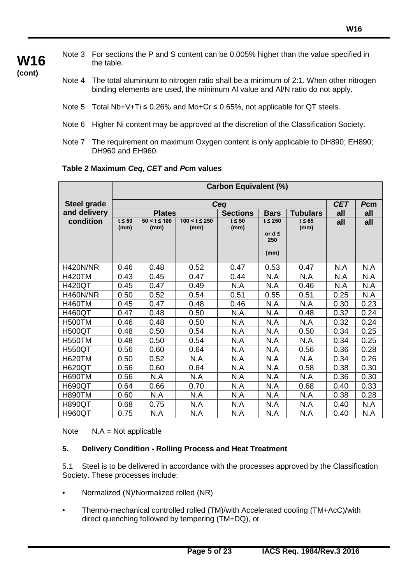Note 3 For sections the P and S content can be 0.005% higher than the value specified in the table.

**(cont)**

**W16**

- Note 4 The total aluminium to nitrogen ratio shall be a minimum of 2:1. When other nitrogen binding elements are used, the minimum Al value and Al/N ratio do not apply.
- Note 5 Total Nb+V+Ti ≤ 0.26% and Mo+Cr  $\leq$  0.65%, not applicable for QT steels.
- Note 6 Higher Ni content may be approved at the discretion of the Classification Society.
- Note 7 The requirement on maximum Oxygen content is only applicable to DH890; EH890; DH960 and EH960.

|  | Table 2 Maximum Ceq, CET and Pcm values |
|--|-----------------------------------------|
|--|-----------------------------------------|

|                    | <b>Carbon Equivalent (%)</b> |                          |                            |                     |                    |                     |      |      |
|--------------------|------------------------------|--------------------------|----------------------------|---------------------|--------------------|---------------------|------|------|
| <b>Steel grade</b> |                              | <b>CET</b>               | Pcm                        |                     |                    |                     |      |      |
| and delivery       |                              | <b>Plates</b>            |                            | <b>Sections</b>     | <b>Bars</b>        | <b>Tubulars</b>     | all  | all  |
| condition          | $t \leq 50$<br>(mm)          | $50 < t \le 100$<br>(mm) | $100 < t \leq 250$<br>(mm) | $t \leq 50$<br>(mm) | $t \leq 250$       | $t \leq 65$<br>(mm) | all  | all  |
|                    |                              |                          |                            |                     | or $d \leq$<br>250 |                     |      |      |
|                    |                              |                          |                            |                     | (mm)               |                     |      |      |
| <b>H420N/NR</b>    | 0.46                         | 0.48                     | 0.52                       | 0.47                | 0.53               | 0.47                | N.A  | N.A  |
| <b>H420TM</b>      | 0.43                         | 0.45                     | 0.47                       | 0.44                | N.A                | N.A                 | N.A  | N.A  |
| <b>H420QT</b>      | 0.45                         | 0.47                     | 0.49                       | N.A                 | N.A                | 0.46                | N.A  | N.A  |
| <b>H460N/NR</b>    | 0.50                         | 0.52                     | 0.54                       | 0.51                | 0.55               | 0.51                | 0.25 | N.A  |
| <b>H460TM</b>      | 0.45                         | 0.47                     | 0.48                       | 0.46                | N.A                | N.A                 | 0.30 | 0.23 |
| <b>H460QT</b>      | 0.47                         | 0.48                     | 0.50                       | N.A                 | N.A                | 0.48                | 0.32 | 0.24 |
| <b>H500TM</b>      | 0.46                         | 0.48                     | 0.50                       | N.A                 | N.A                | N.A                 | 0.32 | 0.24 |
| <b>H500QT</b>      | 0.48                         | 0.50                     | 0.54                       | N.A                 | N.A                | 0.50                | 0.34 | 0.25 |
| <b>H550TM</b>      | 0.48                         | 0.50                     | 0.54                       | N.A                 | N.A                | N.A                 | 0.34 | 0.25 |
| <b>H550QT</b>      | 0.56                         | 0.60                     | 0.64                       | N.A                 | N.A                | 0.56                | 0.36 | 0.28 |
| <b>H620TM</b>      | 0.50                         | 0.52                     | N.A                        | N.A                 | N.A                | N.A                 | 0.34 | 0.26 |
| <b>H620QT</b>      | 0.56                         | 0.60                     | 0.64                       | N.A                 | N.A                | 0.58                | 0.38 | 0.30 |
| <b>H690TM</b>      | 0.56                         | N.A                      | N.A                        | N.A                 | N.A                | N.A                 | 0.36 | 0.30 |
| <b>H690QT</b>      | 0.64                         | 0.66                     | 0.70                       | N.A                 | N.A                | 0.68                | 0.40 | 0.33 |
| <b>H890TM</b>      | 0.60                         | N.A                      | N.A                        | N.A                 | N.A                | N.A                 | 0.38 | 0.28 |
| <b>H890QT</b>      | 0.68                         | 0.75                     | N.A                        | N.A                 | N.A                | N.A                 | 0.40 | N.A  |
| <b>H960QT</b>      | 0.75                         | N.A                      | N.A                        | N.A                 | N.A                | N.A                 | 0.40 | N.A  |

Note N.A = Not applicable

## **5. Delivery Condition - Rolling Process and Heat Treatment**

5.1 Steel is to be delivered in accordance with the processes approved by the Classification Society. These processes include:

- Normalized (N)/Normalized rolled (NR)
- Thermo-mechanical controlled rolled (TM)/with Accelerated cooling (TM+AcC)/with direct quenching followed by tempering (TM+DQ), or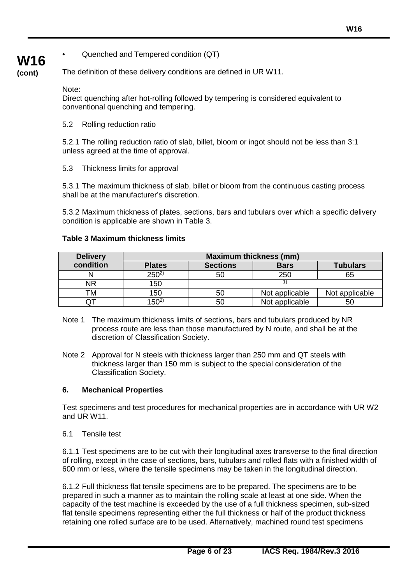• Quenched and Tempered condition (QT)

# **W16 (cont)**

The definition of these delivery conditions are defined in UR W11.

Note:

Direct quenching after hot-rolling followed by tempering is considered equivalent to conventional quenching and tempering.

5.2 Rolling reduction ratio

5.2.1 The rolling reduction ratio of slab, billet, bloom or ingot should not be less than 3:1 unless agreed at the time of approval.

5.3 Thickness limits for approval

5.3.1 The maximum thickness of slab, billet or bloom from the continuous casting process shall be at the manufacturer's discretion.

5.3.2 Maximum thickness of plates, sections, bars and tubulars over which a specific delivery condition is applicable are shown in Table 3.

#### **Table 3 Maximum thickness limits**

| <b>Delivery</b> | <b>Maximum thickness (mm)</b> |                 |                |                 |  |
|-----------------|-------------------------------|-----------------|----------------|-----------------|--|
| condition       | <b>Plates</b>                 | <b>Sections</b> | <b>Bars</b>    | <b>Tubulars</b> |  |
|                 | $250^{2}$                     | 50              | 250            | 65              |  |
| ΝR              | 150                           |                 |                |                 |  |
| TM              | 150                           | 50              | Not applicable | Not applicable  |  |
| Q               | $150^{2}$                     | 50              | Not applicable | 50              |  |

- Note 1 The maximum thickness limits of sections, bars and tubulars produced by NR process route are less than those manufactured by N route, and shall be at the discretion of Classification Society.
- Note 2 Approval for N steels with thickness larger than 250 mm and QT steels with thickness larger than 150 mm is subject to the special consideration of the Classification Society.

#### **6. Mechanical Properties**

Test specimens and test procedures for mechanical properties are in accordance with UR W2 and UR W11.

6.1 Tensile test

6.1.1 Test specimens are to be cut with their longitudinal axes transverse to the final direction of rolling, except in the case of sections, bars, tubulars and rolled flats with a finished width of 600 mm or less, where the tensile specimens may be taken in the longitudinal direction.

6.1.2 Full thickness flat tensile specimens are to be prepared. The specimens are to be prepared in such a manner as to maintain the rolling scale at least at one side. When the capacity of the test machine is exceeded by the use of a full thickness specimen, sub-sized flat tensile specimens representing either the full thickness or half of the product thickness retaining one rolled surface are to be used. Alternatively, machined round test specimens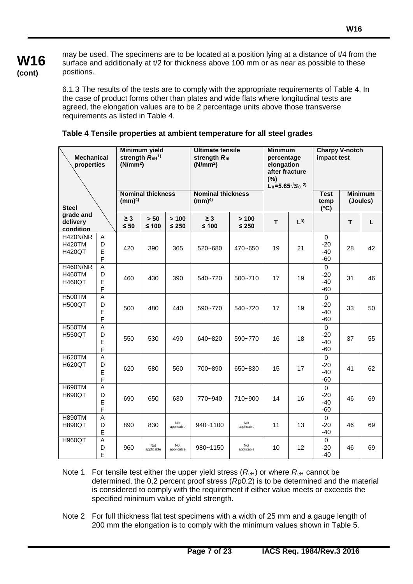# **W16 (cont)**

may be used. The specimens are to be located at a position lying at a distance of t/4 from the surface and additionally at t/2 for thickness above 100 mm or as near as possible to these positions.

6.1.3 The results of the tests are to comply with the appropriate requirements of Table 4. In the case of product forms other than plates and wide flats where longitudinal tests are agreed, the elongation values are to be 2 percentage units above those transverse requirements as listed in Table 4.

| <b>Minimum yield</b><br>strength ReH <sup>1)</sup><br><b>Mechanical</b><br>(N/mm <sup>2</sup> )<br>properties |                                          |                       | <b>Ultimate tensile</b><br>strength $R_m$<br>(N/mm <sup>2</sup> ) |                     | <b>Minimum</b><br>percentage<br>elongation<br>after fracture<br>(%)<br>$L_0 = 5.65\sqrt{S_0}^{2}$ |                     | <b>Charpy V-notch</b><br>impact test |          |                                        |    |                            |
|---------------------------------------------------------------------------------------------------------------|------------------------------------------|-----------------------|-------------------------------------------------------------------|---------------------|---------------------------------------------------------------------------------------------------|---------------------|--------------------------------------|----------|----------------------------------------|----|----------------------------|
| <b>Steel</b>                                                                                                  |                                          | (mm) <sup>4</sup>     | <b>Nominal thickness</b>                                          |                     | <b>Nominal thickness</b><br>(mm) <sup>4</sup>                                                     |                     |                                      |          | <b>Test</b><br>temp<br>$(^{\circ}C)$   |    | <b>Minimum</b><br>(Joules) |
| grade and<br>delivery<br>condition                                                                            |                                          | $\geq 3$<br>$\leq 50$ | $> 50$<br>$≤ 100$                                                 | > 100<br>$\leq 250$ | $\geq 3$<br>$≤ 100$                                                                               | > 100<br>$\leq 250$ | T                                    | $L^{3)}$ |                                        | T. | L                          |
| <b>H420N/NR</b><br><b>H420TM</b><br><b>H420QT</b>                                                             | Α<br>D<br>E<br>F                         | 420                   | 390                                                               | 365                 | 520~680                                                                                           | 470~650             | 19                                   | 21       | $\mathbf 0$<br>$-20$<br>$-40$<br>$-60$ | 28 | 42                         |
| H460N/NR<br><b>H460TM</b><br><b>H460QT</b>                                                                    | $\overline{A}$<br>D<br>E<br>F            | 460                   | 430                                                               | 390                 | 540~720                                                                                           | 500~710             | 17                                   | 19       | $\mathbf 0$<br>$-20$<br>$-40$<br>$-60$ | 31 | 46                         |
| <b>H500TM</b><br><b>H500QT</b>                                                                                | $\boldsymbol{\mathsf{A}}$<br>D<br>E<br>F | 500                   | 480                                                               | 440                 | 590~770                                                                                           | 540~720             | 17                                   | 19       | $\mathbf 0$<br>$-20$<br>$-40$<br>$-60$ | 33 | 50                         |
| <b>H550TM</b><br><b>H550QT</b>                                                                                | A<br>D<br>E<br>$\mathsf F$               | 550                   | 530                                                               | 490                 | 640~820                                                                                           | 590~770             | 16                                   | 18       | $\Omega$<br>$-20$<br>$-40$<br>$-60$    | 37 | 55                         |
| <b>H620TM</b><br><b>H620QT</b>                                                                                | $\boldsymbol{\mathsf{A}}$<br>D<br>E<br>F | 620                   | 580                                                               | 560                 | 700~890                                                                                           | 650~830             | 15                                   | 17       | $\mathbf 0$<br>$-20$<br>$-40$<br>$-60$ | 41 | 62                         |
| <b>H690TM</b><br><b>H690QT</b>                                                                                | A<br>D<br>E<br>F                         | 690                   | 650                                                               | 630                 | 770~940                                                                                           | 710~900             | 14                                   | 16       | $\mathbf 0$<br>$-20$<br>$-40$<br>$-60$ | 46 | 69                         |
| <b>H890TM</b><br><b>H890QT</b>                                                                                | A<br>D<br>E                              | 890                   | 830                                                               | Not<br>applicable   | 940~1100                                                                                          | Not<br>applicable   | 11                                   | 13       | $\mathbf 0$<br>$-20$<br>$-40$          | 46 | 69                         |
| <b>H960QT</b>                                                                                                 | Α<br>D<br>E                              | 960                   | Not<br>applicable                                                 | Not<br>applicable   | 980~1150                                                                                          | Not<br>applicable   | 10                                   | 12       | $\mathbf 0$<br>$-20$<br>$-40$          | 46 | 69                         |

# **Table 4 Tensile properties at ambient temperature for all steel grades**

- Note 1 For tensile test either the upper yield stress  $(R<sub>eh</sub>)$  or where  $R<sub>eh</sub>$  cannot be determined, the 0,2 percent proof st*re*ss (*R*p0.2) is to be determined and the material is considered to comply with the requirement if either value meets or exceeds the specified minimum value of yield strength.
- Note 2 For full thickness flat test specimens with a width of 25 mm and a gauge length of 200 mm the elongation is to comply with the minimum values shown in Table 5.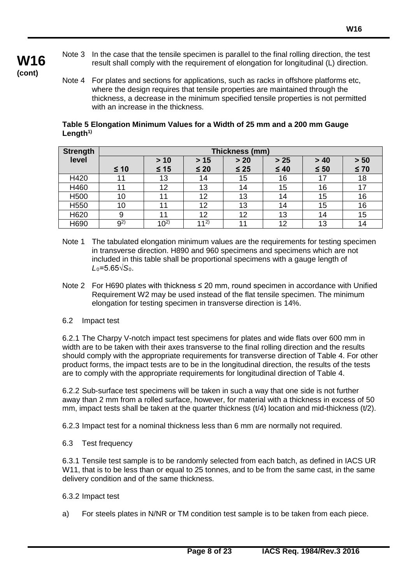- Note 3 In the case that the tensile specimen is parallel to the final rolling direction, the test result shall comply with the requirement of elongation for longitudinal (L) direction.
- **(cont)**

**W16**

Note 4 For plates and sections for applications, such as racks in offshore platforms etc, where the design requires that tensile properties are maintained through the thickness, a decrease in the minimum specified tensile properties is not permitted with an increase in the thickness.

#### **Table 5 Elongation Minimum Values for a Width of 25 mm and a 200 mm Gauge**  Length<sup>1)</sup>

| <b>Strength</b>  |         | Thickness (mm) |                 |           |           |           |           |
|------------------|---------|----------------|-----------------|-----------|-----------|-----------|-----------|
| level            |         | > 10           | $>15$           | $> 20$    | $>25$     | > 40      | $> 50$    |
|                  | $≤ 10$  | $\leq 15$      | $\leq 20$       | $\leq 25$ | $\leq 40$ | $\leq 50$ | $\leq 70$ |
| H420             | 11      | 13             | 14              | 15        | 16        |           | 18        |
| H460             | 11      | 12             | 13              | 14        | 15        | 16        | 17        |
| H <sub>500</sub> | 10      |                | 12              | 13        | 14        | 15        | 16        |
| H550             | 10      | 11             | 12              | 13        | 14        | 15        | 16        |
| H620             | 9       | 11             | 12              | 12        | 13        | 14        | 15        |
| H690             | $9^{2}$ | $10^{2}$       | 11 <sup>2</sup> | 11        | 12        | 13        | 14        |

- Note 1 The tabulated elongation minimum values are the requirements for testing specimen in transverse direction. H890 and 960 specimens and specimens which are not included in this table shall be proportional specimens with a gauge length of *L*0=5.65√*S*0.
- Note 2 For H690 plates with thickness ≤ 20 mm, round specimen in accordance with Unified Requirement W2 may be used instead of the flat tensile specimen. The minimum elongation for testing specimen in transverse direction is 14%.
- 6.2 Impact test

6.2.1 The Charpy V-notch impact test specimens for plates and wide flats over 600 mm in width are to be taken with their axes transverse to the final rolling direction and the results should comply with the appropriate requirements for transverse direction of Table 4. For other product forms, the impact tests are to be in the longitudinal direction, the results of the tests are to comply with the appropriate requirements for longitudinal direction of Table 4.

6.2.2 Sub-surface test specimens will be taken in such a way that one side is not further away than 2 mm from a rolled surface, however, for material with a thickness in excess of 50 mm, impact tests shall be taken at the quarter thickness (t/4) location and mid-thickness (t/2).

6.2.3 Impact test for a nominal thickness less than 6 mm are normally not required.

6.3 Test frequency

6.3.1 Tensile test sample is to be randomly selected from each batch, as defined in IACS UR W11, that is to be less than or equal to 25 tonnes, and to be from the same cast, in the same delivery condition and of the same thickness.

- 6.3.2 Impact test
- a) For steels plates in N/NR or TM condition test sample is to be taken from each piece.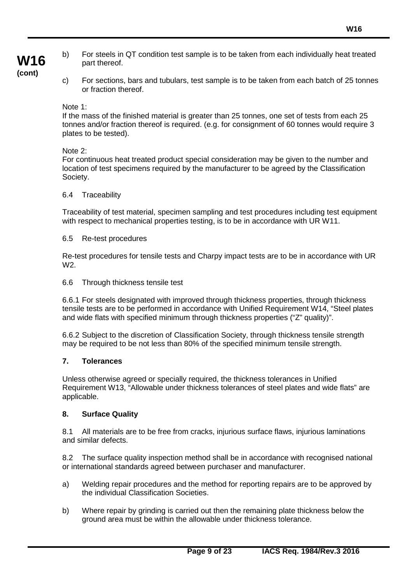- b) For steels in QT condition test sample is to be taken from each individually heat treated part thereof.
- c) For sections, bars and tubulars, test sample is to be taken from each batch of 25 tonnes or fraction thereof.

# Note 1:

If the mass of the finished material is greater than 25 tonnes, one set of tests from each 25 tonnes and/or fraction thereof is required. (e.g. for consignment of 60 tonnes would require 3 plates to be tested).

# Note 2:

For continuous heat treated product special consideration may be given to the number and location of test specimens required by the manufacturer to be agreed by the Classification Society.

# 6.4 Traceability

Traceability of test material, specimen sampling and test procedures including test equipment with respect to mechanical properties testing, is to be in accordance with UR W11.

# 6.5 Re-test procedures

Re-test procedures for tensile tests and Charpy impact tests are to be in accordance with UR W2.

# 6.6 Through thickness tensile test

6.6.1 For steels designated with improved through thickness properties, through thickness tensile tests are to be performed in accordance with Unified Requirement W14, "Steel plates and wide flats with specified minimum through thickness properties ("Z" quality)".

6.6.2 Subject to the discretion of Classification Society, through thickness tensile strength may be required to be not less than 80% of the specified minimum tensile strength.

# **7. Tolerances**

Unless otherwise agreed or specially required, the thickness tolerances in Unified Requirement W13, "Allowable under thickness tolerances of steel plates and wide flats" are applicable.

# **8. Surface Quality**

8.1 All materials are to be free from cracks, injurious surface flaws, injurious laminations and similar defects.

8.2 The surface quality inspection method shall be in accordance with recognised national or international standards agreed between purchaser and manufacturer.

- a) Welding repair procedures and the method for reporting repairs are to be approved by the individual Classification Societies.
- b) Where repair by grinding is carried out then the remaining plate thickness below the ground area must be within the allowable under thickness tolerance.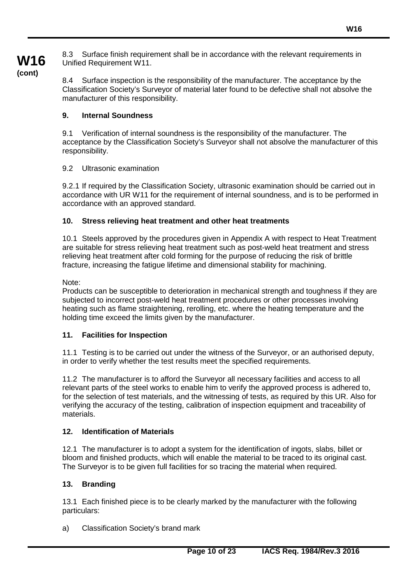8.3 Surface finish requirement shall be in accordance with the relevant requirements in Unified Requirement W11.

**(cont)**

**W16**

8.4 Surface inspection is the responsibility of the manufacturer. The acceptance by the Classification Society's Surveyor of material later found to be defective shall not absolve the manufacturer of this responsibility.

# **9. Internal Soundness**

9.1 Verification of internal soundness is the responsibility of the manufacturer. The acceptance by the Classification Society's Surveyor shall not absolve the manufacturer of this responsibility.

## 9.2 Ultrasonic examination

9.2.1 If required by the Classification Society, ultrasonic examination should be carried out in accordance with UR W11 for the requirement of internal soundness, and is to be performed in accordance with an approved standard.

#### **10. Stress relieving heat treatment and other heat treatments**

10.1 Steels approved by the procedures given in Appendix A with respect to Heat Treatment are suitable for stress relieving heat treatment such as post-weld heat treatment and stress relieving heat treatment after cold forming for the purpose of reducing the risk of brittle fracture, increasing the fatigue lifetime and dimensional stability for machining.

Note:

Products can be susceptible to deterioration in mechanical strength and toughness if they are subjected to incorrect post-weld heat treatment procedures or other processes involving heating such as flame straightening, rerolling, etc. where the heating temperature and the holding time exceed the limits given by the manufacturer.

## **11. Facilities for Inspection**

11.1 Testing is to be carried out under the witness of the Surveyor, or an authorised deputy, in order to verify whether the test results meet the specified requirements.

11.2 The manufacturer is to afford the Surveyor all necessary facilities and access to all relevant parts of the steel works to enable him to verify the approved process is adhered to, for the selection of test materials, and the witnessing of tests, as required by this UR. Also for verifying the accuracy of the testing, calibration of inspection equipment and traceability of materials.

#### **12. Identification of Materials**

12.1 The manufacturer is to adopt a system for the identification of ingots, slabs, billet or bloom and finished products, which will enable the material to be traced to its original cast. The Surveyor is to be given full facilities for so tracing the material when required.

## **13. Branding**

13.1 Each finished piece is to be clearly marked by the manufacturer with the following particulars:

a) Classification Society's brand mark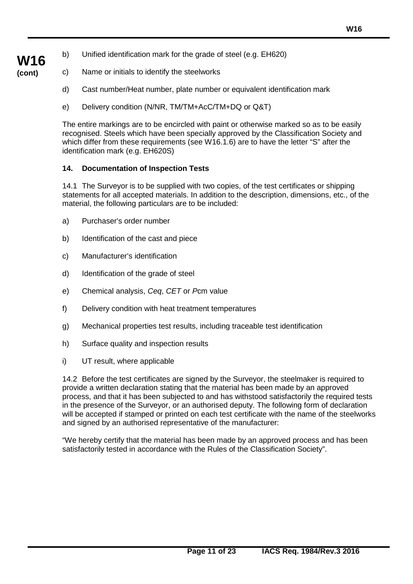- b) Unified identification mark for the grade of steel (e.g. EH620)
- c) Name or initials to identify the steelworks
	- d) Cast number/Heat number, plate number or equivalent identification mark
	- e) Delivery condition (N/NR, TM/TM+AcC/TM+DQ or Q&T)

The entire markings are to be encircled with paint or otherwise marked so as to be easily recognised. Steels which have been specially approved by the Classification Society and which differ from these requirements (see W16.1.6) are to have the letter "S" after the identification mark (e.g. EH620S)

# **14. Documentation of Inspection Tests**

14.1 The Surveyor is to be supplied with two copies, of the test certificates or shipping statements for all accepted materials. In addition to the description, dimensions, etc., of the material, the following particulars are to be included:

- a) Purchaser's order number
- b) Identification of the cast and piece
- c) Manufacturer's identification
- d) Identification of the grade of steel
- e) Chemical analysis, *Ceq*, *CET* or *P*cm value
- f) Delivery condition with heat treatment temperatures
- g) Mechanical properties test results, including traceable test identification
- h) Surface quality and inspection results
- i) UT result, where applicable

14.2 Before the test certificates are signed by the Surveyor, the steelmaker is required to provide a written declaration stating that the material has been made by an approved process, and that it has been subjected to and has withstood satisfactorily the required tests in the presence of the Surveyor, or an authorised deputy. The following form of declaration will be accepted if stamped or printed on each test certificate with the name of the steelworks and signed by an authorised representative of the manufacturer:

"We hereby certify that the material has been made by an approved process and has been satisfactorily tested in accordance with the Rules of the Classification Society".

**W16 (cont)**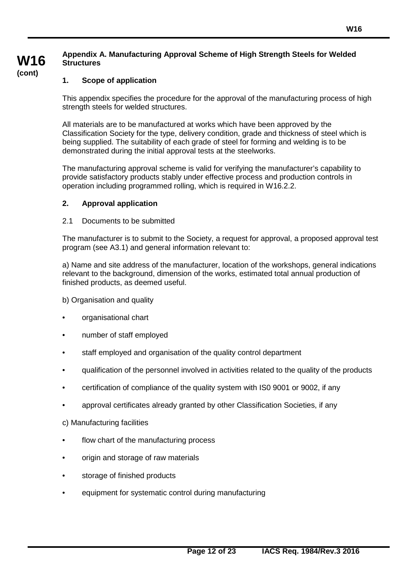# **Appendix A. Manufacturing Approval Scheme of High Strength Steels for Welded Structures**

#### **1. Scope of application**

**W16 (cont)**

> This appendix specifies the procedure for the approval of the manufacturing process of high strength steels for welded structures.

All materials are to be manufactured at works which have been approved by the Classification Society for the type, delivery condition, grade and thickness of steel which is being supplied. The suitability of each grade of steel for forming and welding is to be demonstrated during the initial approval tests at the steelworks.

The manufacturing approval scheme is valid for verifying the manufacturer's capability to provide satisfactory products stably under effective process and production controls in operation including programmed rolling, which is required in W16.2.2.

#### **2. Approval application**

#### 2.1 Documents to be submitted

The manufacturer is to submit to the Society, a request for approval, a proposed approval test program (see A3.1) and general information relevant to:

a) Name and site address of the manufacturer, location of the workshops, general indications relevant to the background, dimension of the works, estimated total annual production of finished products, as deemed useful.

b) Organisation and quality

- organisational chart
- number of staff employed
- staff employed and organisation of the quality control department
- qualification of the personnel involved in activities related to the quality of the products
- certification of compliance of the quality system with IS0 9001 or 9002, if any
- approval certificates already granted by other Classification Societies, if any
- c) Manufacturing facilities
- flow chart of the manufacturing process
- origin and storage of raw materials
- storage of finished products
- equipment for systematic control during manufacturing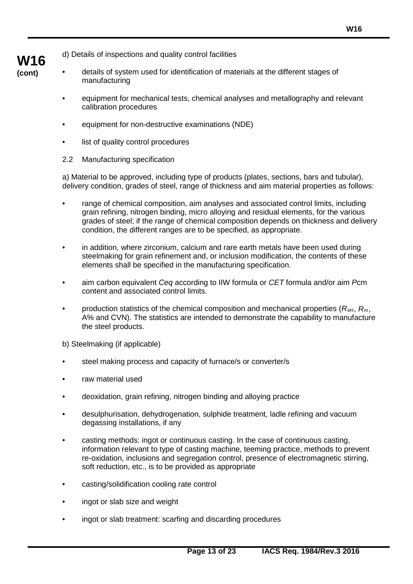d) Details of inspections and quality control facilities

- details of system used for identification of materials at the different stages of manufacturing
	- equipment for mechanical tests, chemical analyses and metallography and relevant calibration procedures
	- equipment for non-destructive examinations (NDE)
	- list of quality control procedures
	- 2.2 Manufacturing specification

**W16 (cont)**

> a) Material to be approved, including type of products (plates, sections, bars and tubular), delivery condition, grades of steel, range of thickness and aim material properties as follows:

- range of chemical composition, aim analyses and associated control limits, including grain refining, nitrogen binding, micro alloying and residual elements, for the various grades of steel; if the range of chemical composition depends on thickness and delivery condition, the different ranges are to be specified, as appropriate.
- in addition, where zirconium, calcium and rare earth metals have been used during steelmaking for grain refinement and, or inclusion modification, the contents of these elements shall be specified in the manufacturing specification.
- aim carbon equivalent *Ceq* according to IIW formula or *CET* formula and/or aim *P*cm content and associated control limits.
- production statistics of the chemical composition and mechanical properties  $(R_{\text{eH}}, R_{\text{m}})$ A% and CVN). The statistics are intended to demonstrate the capability to manufacture the steel products.

b) Steelmaking (if applicable)

- steel making process and capacity of furnace/s or converter/s
- raw material used
- deoxidation, grain refining, nitrogen binding and alloying practice
- desulphurisation, dehydrogenation, sulphide treatment, ladle refining and vacuum degassing installations, if any
- casting methods: ingot or continuous casting. In the case of continuous casting, information relevant to type of casting machine, teeming practice, methods to prevent re-oxidation, inclusions and segregation control, presence of electromagnetic stirring, soft reduction, etc., is to be provided as appropriate
- casting/solidification cooling rate control
- ingot or slab size and weight
- ingot or slab treatment: scarfing and discarding procedures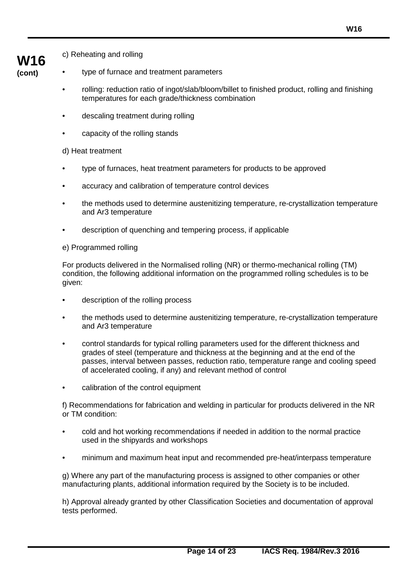- **W16 (cont)**
- c) Reheating and rolling
- type of furnace and treatment parameters
	- rolling: reduction ratio of ingot/slab/bloom/billet to finished product, rolling and finishing temperatures for each grade/thickness combination
	- descaling treatment during rolling
	- capacity of the rolling stands

d) Heat treatment

- type of furnaces, heat treatment parameters for products to be approved
- accuracy and calibration of temperature control devices
- the methods used to determine austenitizing temperature, re-crystallization temperature and Ar3 temperature
- description of quenching and tempering process, if applicable

e) Programmed rolling

For products delivered in the Normalised rolling (NR) or thermo-mechanical rolling (TM) condition, the following additional information on the programmed rolling schedules is to be given:

- description of the rolling process
- the methods used to determine austenitizing temperature, re-crystallization temperature and Ar3 temperature
- control standards for typical rolling parameters used for the different thickness and grades of steel (temperature and thickness at the beginning and at the end of the passes, interval between passes, reduction ratio, temperature range and cooling speed of accelerated cooling, if any) and relevant method of control
- calibration of the control equipment

f) Recommendations for fabrication and welding in particular for products delivered in the NR or TM condition:

- cold and hot working recommendations if needed in addition to the normal practice used in the shipyards and workshops
- minimum and maximum heat input and recommended pre-heat/interpass temperature

g) Where any part of the manufacturing process is assigned to other companies or other manufacturing plants, additional information required by the Society is to be included.

h) Approval already granted by other Classification Societies and documentation of approval tests performed.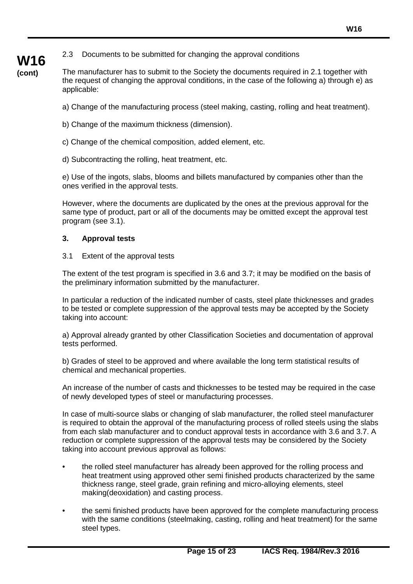# 2.3 Documents to be submitted for changing the approval conditions

**(cont)** The manufacturer has to submit to the Society the documents required in 2.1 together with the request of changing the approval conditions, in the case of the following a) through e) as applicable:

- a) Change of the manufacturing process (steel making, casting, rolling and heat treatment).
- b) Change of the maximum thickness (dimension).
- c) Change of the chemical composition, added element, etc.
- d) Subcontracting the rolling, heat treatment, etc.

e) Use of the ingots, slabs, blooms and billets manufactured by companies other than the ones verified in the approval tests.

However, where the documents are duplicated by the ones at the previous approval for the same type of product, part or all of the documents may be omitted except the approval test program (see 3.1).

#### **3. Approval tests**

**W16**

3.1 Extent of the approval tests

The extent of the test program is specified in 3.6 and 3.7; it may be modified on the basis of the preliminary information submitted by the manufacturer.

In particular a reduction of the indicated number of casts, steel plate thicknesses and grades to be tested or complete suppression of the approval tests may be accepted by the Society taking into account:

a) Approval already granted by other Classification Societies and documentation of approval tests performed.

b) Grades of steel to be approved and where available the long term statistical results of chemical and mechanical properties.

An increase of the number of casts and thicknesses to be tested may be required in the case of newly developed types of steel or manufacturing processes.

In case of multi-source slabs or changing of slab manufacturer, the rolled steel manufacturer is required to obtain the approval of the manufacturing process of rolled steels using the slabs from each slab manufacturer and to conduct approval tests in accordance with 3.6 and 3.7. A reduction or complete suppression of the approval tests may be considered by the Society taking into account previous approval as follows:

- the rolled steel manufacturer has already been approved for the rolling process and heat treatment using approved other semi finished products characterized by the same thickness range, steel grade, grain refining and micro-alloying elements, steel making(deoxidation) and casting process.
- the semi finished products have been approved for the complete manufacturing process with the same conditions (steelmaking, casting, rolling and heat treatment) for the same steel types.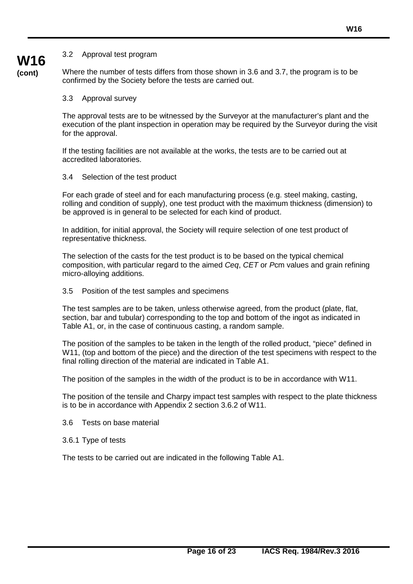#### 3.2 Approval test program

**W16 (cont)**

Where the number of tests differs from those shown in 3.6 and 3.7, the program is to be confirmed by the Society before the tests are carried out.

#### 3.3 Approval survey

The approval tests are to be witnessed by the Surveyor at the manufacturer's plant and the execution of the plant inspection in operation may be required by the Surveyor during the visit for the approval.

If the testing facilities are not available at the works, the tests are to be carried out at accredited laboratories.

#### 3.4 Selection of the test product

For each grade of steel and for each manufacturing process (e.g. steel making, casting, rolling and condition of supply), one test product with the maximum thickness (dimension) to be approved is in general to be selected for each kind of product.

In addition, for initial approval, the Society will require selection of one test product of representative thickness.

The selection of the casts for the test product is to be based on the typical chemical composition, with particular regard to the aimed *Ceq*, *CET* or *P*cm values and grain refining micro-alloying additions.

#### 3.5 Position of the test samples and specimens

The test samples are to be taken, unless otherwise agreed, from the product (plate, flat, section, bar and tubular) corresponding to the top and bottom of the ingot as indicated in Table A1, or, in the case of continuous casting, a random sample.

The position of the samples to be taken in the length of the rolled product, "piece" defined in W11, (top and bottom of the piece) and the direction of the test specimens with respect to the final rolling direction of the material are indicated in Table A1.

The position of the samples in the width of the product is to be in accordance with W11.

The position of the tensile and Charpy impact test samples with respect to the plate thickness is to be in accordance with Appendix 2 section 3.6.2 of W11.

#### 3.6 Tests on base material

3.6.1 Type of tests

The tests to be carried out are indicated in the following Table A1.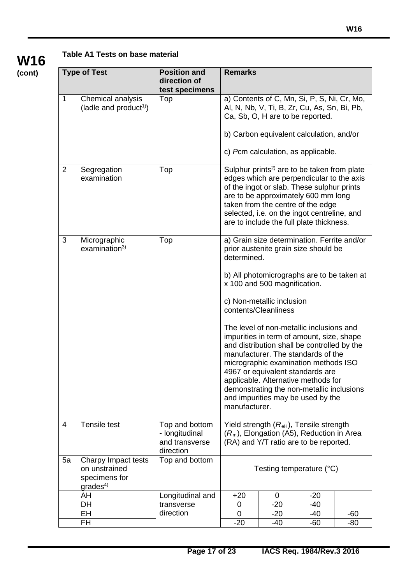# **Table A1 Tests on base material**

**W16 (cont)**

|                | <b>Type of Test</b>                                                          | <b>Position and</b><br>direction of<br>test specimens           | <b>Remarks</b>                                                                                                                                                                                                                                                                                                            |                                                   |                                                                                                                                                                                                                                                                                                                                                                                 |     |  |  |
|----------------|------------------------------------------------------------------------------|-----------------------------------------------------------------|---------------------------------------------------------------------------------------------------------------------------------------------------------------------------------------------------------------------------------------------------------------------------------------------------------------------------|---------------------------------------------------|---------------------------------------------------------------------------------------------------------------------------------------------------------------------------------------------------------------------------------------------------------------------------------------------------------------------------------------------------------------------------------|-----|--|--|
| 1              | Chemical analysis<br>(ladle and product <sup>1)</sup> )                      | Top                                                             | a) Contents of C, Mn, Si, P, S, Ni, Cr, Mo,<br>Al, N, Nb, V, Ti, B, Zr, Cu, As, Sn, Bi, Pb,<br>Ca, Sb, O, H are to be reported.                                                                                                                                                                                           |                                                   |                                                                                                                                                                                                                                                                                                                                                                                 |     |  |  |
|                |                                                                              |                                                                 |                                                                                                                                                                                                                                                                                                                           |                                                   | b) Carbon equivalent calculation, and/or                                                                                                                                                                                                                                                                                                                                        |     |  |  |
|                |                                                                              |                                                                 |                                                                                                                                                                                                                                                                                                                           |                                                   | c) Pcm calculation, as applicable.                                                                                                                                                                                                                                                                                                                                              |     |  |  |
| $\overline{2}$ | Segregation<br>examination                                                   | Top                                                             | Sulphur prints <sup>2)</sup> are to be taken from plate<br>edges which are perpendicular to the axis<br>of the ingot or slab. These sulphur prints<br>are to be approximately 600 mm long<br>taken from the centre of the edge<br>selected, i.e. on the ingot centreline, and<br>are to include the full plate thickness. |                                                   |                                                                                                                                                                                                                                                                                                                                                                                 |     |  |  |
| 3              | Micrographic<br>examination <sup>3</sup>                                     | Top                                                             | determined.                                                                                                                                                                                                                                                                                                               |                                                   | a) Grain size determination. Ferrite and/or<br>prior austenite grain size should be                                                                                                                                                                                                                                                                                             |     |  |  |
|                |                                                                              |                                                                 | b) All photomicrographs are to be taken at<br>x 100 and 500 magnification.                                                                                                                                                                                                                                                |                                                   |                                                                                                                                                                                                                                                                                                                                                                                 |     |  |  |
|                |                                                                              |                                                                 |                                                                                                                                                                                                                                                                                                                           | c) Non-metallic inclusion<br>contents/Cleanliness |                                                                                                                                                                                                                                                                                                                                                                                 |     |  |  |
|                |                                                                              |                                                                 | manufacturer.                                                                                                                                                                                                                                                                                                             |                                                   | The level of non-metallic inclusions and<br>impurities in term of amount, size, shape<br>and distribution shall be controlled by the<br>manufacturer. The standards of the<br>micrographic examination methods ISO<br>4967 or equivalent standards are<br>applicable. Alternative methods for<br>demonstrating the non-metallic inclusions<br>and impurities may be used by the |     |  |  |
| $\overline{4}$ | Tensile test                                                                 | Top and bottom<br>- longitudinal<br>and transverse<br>direction | Yield strength $(Reh)$ , Tensile strength<br>$(Rm)$ , Elongation (A5), Reduction in Area<br>(RA) and Y/T ratio are to be reported.                                                                                                                                                                                        |                                                   |                                                                                                                                                                                                                                                                                                                                                                                 |     |  |  |
| 5a             | Charpy Impact tests<br>on unstrained<br>specimens for<br>grades <sup>4</sup> | Top and bottom                                                  | Testing temperature (°C)                                                                                                                                                                                                                                                                                                  |                                                   |                                                                                                                                                                                                                                                                                                                                                                                 |     |  |  |
|                | AH                                                                           | Longitudinal and                                                | $+20$                                                                                                                                                                                                                                                                                                                     | 0                                                 | $-20$                                                                                                                                                                                                                                                                                                                                                                           |     |  |  |
|                | DH                                                                           | transverse                                                      | 0                                                                                                                                                                                                                                                                                                                         | $-20$                                             | -40                                                                                                                                                                                                                                                                                                                                                                             |     |  |  |
|                | EH                                                                           | direction                                                       | $\mathbf 0$                                                                                                                                                                                                                                                                                                               | $-20$                                             | $-40$                                                                                                                                                                                                                                                                                                                                                                           | -60 |  |  |
|                | FH                                                                           |                                                                 | $-20$                                                                                                                                                                                                                                                                                                                     | $-40$                                             | $-60$                                                                                                                                                                                                                                                                                                                                                                           | -80 |  |  |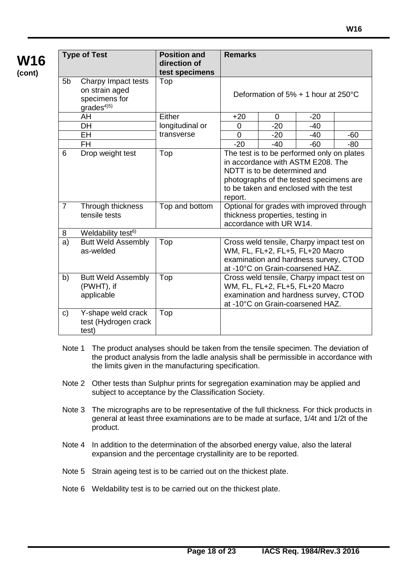| <b>Type of Test</b> |                                                                         | <b>Position and</b> | <b>Remarks</b> |                                                             |                                                                                                                                                                      |       |  |
|---------------------|-------------------------------------------------------------------------|---------------------|----------------|-------------------------------------------------------------|----------------------------------------------------------------------------------------------------------------------------------------------------------------------|-------|--|
|                     |                                                                         | direction of        |                |                                                             |                                                                                                                                                                      |       |  |
|                     |                                                                         | test specimens      |                |                                                             |                                                                                                                                                                      |       |  |
| 5 <sub>b</sub>      | Charpy Impact tests<br>on strain aged<br>specimens for<br>$grades^{4)}$ | Top                 |                |                                                             | Deformation of 5% + 1 hour at 250°C                                                                                                                                  |       |  |
|                     | AH                                                                      | Either              | $+20$          | 0                                                           | $-20$                                                                                                                                                                |       |  |
|                     | DH                                                                      | longitudinal or     | 0              | $-20$                                                       | $-40$                                                                                                                                                                |       |  |
|                     | <b>EH</b>                                                               | transverse          | $\overline{0}$ | $-20$                                                       | $-40$                                                                                                                                                                | $-60$ |  |
|                     | <b>FH</b>                                                               |                     | $-20$          | $-40$                                                       | $-60$                                                                                                                                                                | -80   |  |
| 6                   | Drop weight test                                                        | Top                 | report.        | NDTT is to be determined and                                | The test is to be performed only on plates<br>in accordance with ASTM E208. The<br>photographs of the tested specimens are<br>to be taken and enclosed with the test |       |  |
| $\overline{7}$      | Through thickness<br>tensile tests                                      | Top and bottom      |                | thickness properties, testing in<br>accordance with UR W14. | Optional for grades with improved through                                                                                                                            |       |  |
| 8                   | Weldability test <sup>6)</sup>                                          |                     |                |                                                             |                                                                                                                                                                      |       |  |
| a)                  | <b>Butt Weld Assembly</b><br>as-welded                                  | Top                 |                |                                                             | Cross weld tensile, Charpy impact test on<br>WM, FL, FL+2, FL+5, FL+20 Macro<br>examination and hardness survey, CTOD<br>at -10°C on Grain-coarsened HAZ.            |       |  |
| b)                  | <b>Butt Weld Assembly</b><br>(PWHT), if<br>applicable                   | Top                 |                |                                                             | Cross weld tensile, Charpy impact test on<br>WM, FL, FL+2, FL+5, FL+20 Macro<br>examination and hardness survey, CTOD<br>at -10°C on Grain-coarsened HAZ.            |       |  |
| C)                  | Y-shape weld crack<br>test (Hydrogen crack<br>test)                     | Top                 |                |                                                             |                                                                                                                                                                      |       |  |

- Note 1 The product analyses should be taken from the tensile specimen. The deviation of the product analysis from the ladle analysis shall be permissible in accordance with the limits given in the manufacturing specification.
- Note 2 Other tests than Sulphur prints for segregation examination may be applied and subject to acceptance by the Classification Society.
- Note 3 The micrographs are to be representative of the full thickness. For thick products in general at least three examinations are to be made at surface, 1/4t and 1/2t of the product.
- Note 4 In addition to the determination of the absorbed energy value, also the lateral expansion and the percentage crystallinity are to be reported.
- Note 5 Strain ageing test is to be carried out on the thickest plate.
- Note 6 Weldability test is to be carried out on the thickest plate.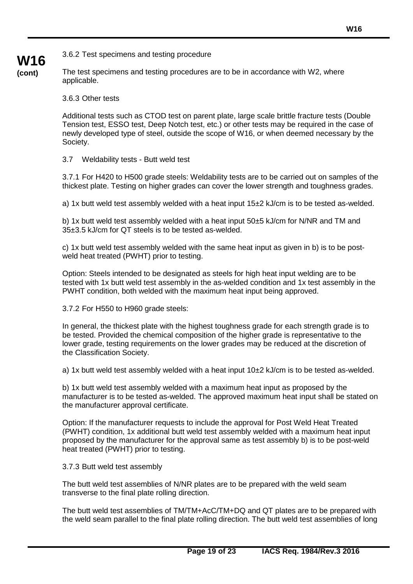3.6.2 Test specimens and testing procedure

**W16 (cont)**

The test specimens and testing procedures are to be in accordance with W2, where applicable.

3.6.3 Other tests

Additional tests such as CTOD test on parent plate, large scale brittle fracture tests (Double Tension test, ESSO test, Deep Notch test, etc.) or other tests may be required in the case of newly developed type of steel, outside the scope of W16, or when deemed necessary by the Society.

3.7 Weldability tests - Butt weld test

3.7.1 For H420 to H500 grade steels: Weldability tests are to be carried out on samples of the thickest plate. Testing on higher grades can cover the lower strength and toughness grades.

a) 1x butt weld test assembly welded with a heat input 15±2 kJ/cm is to be tested as-welded.

b) 1x butt weld test assembly welded with a heat input 50±5 kJ/cm for N/NR and TM and 35±3.5 kJ/cm for QT steels is to be tested as-welded.

c) 1x butt weld test assembly welded with the same heat input as given in b) is to be postweld heat treated (PWHT) prior to testing.

Option: Steels intended to be designated as steels for high heat input welding are to be tested with 1x butt weld test assembly in the as-welded condition and 1x test assembly in the PWHT condition, both welded with the maximum heat input being approved.

3.7.2 For H550 to H960 grade steels:

In general, the thickest plate with the highest toughness grade for each strength grade is to be tested. Provided the chemical composition of the higher grade is representative to the lower grade, testing requirements on the lower grades may be reduced at the discretion of the Classification Society.

a) 1x butt weld test assembly welded with a heat input 10±2 kJ/cm is to be tested as-welded.

b) 1x butt weld test assembly welded with a maximum heat input as proposed by the manufacturer is to be tested as-welded. The approved maximum heat input shall be stated on the manufacturer approval certificate.

Option: If the manufacturer requests to include the approval for Post Weld Heat Treated (PWHT) condition, 1x additional butt weld test assembly welded with a maximum heat input proposed by the manufacturer for the approval same as test assembly b) is to be post-weld heat treated (PWHT) prior to testing.

3.7.3 Butt weld test assembly

The butt weld test assemblies of N/NR plates are to be prepared with the weld seam transverse to the final plate rolling direction.

The butt weld test assemblies of TM/TM+AcC/TM+DQ and QT plates are to be prepared with the weld seam parallel to the final plate rolling direction. The butt weld test assemblies of long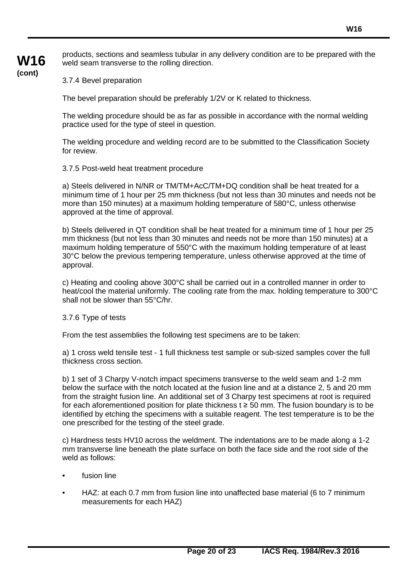# **W16 (cont)**

products, sections and seamless tubular in any delivery condition are to be prepared with the weld seam transverse to the rolling direction.

3.7.4 Bevel preparation

The bevel preparation should be preferably 1/2V or K related to thickness.

The welding procedure should be as far as possible in accordance with the normal welding practice used for the type of steel in question.

The welding procedure and welding record are to be submitted to the Classification Society for review.

#### 3.7.5 Post-weld heat treatment procedure

a) Steels delivered in N/NR or TM/TM+AcC/TM+DQ condition shall be heat treated for a minimum time of 1 hour per 25 mm thickness (but not less than 30 minutes and needs not be more than 150 minutes) at a maximum holding temperature of 580°C, unless otherwise approved at the time of approval.

b) Steels delivered in QT condition shall be heat treated for a minimum time of 1 hour per 25 mm thickness (but not less than 30 minutes and needs not be more than 150 minutes) at a maximum holding temperature of 550°C with the maximum holding temperature of at least 30°C below the previous tempering temperature, unless otherwise approved at the time of approval.

c) Heating and cooling above 300°C shall be carried out in a controlled manner in order to heat/cool the material uniformly. The cooling rate from the max. holding temperature to 300°C shall not be slower than 55°C/hr.

3.7.6 Type of tests

From the test assemblies the following test specimens are to be taken:

a) 1 cross weld tensile test - 1 full thickness test sample or sub-sized samples cover the full thickness cross section.

b) 1 set of 3 Charpy V-notch impact specimens transverse to the weld seam and 1-2 mm below the surface with the notch located at the fusion line and at a distance 2, 5 and 20 mm from the straight fusion line. An additional set of 3 Charpy test specimens at root is required for each aforementioned position for plate thickness  $t \geq 50$  mm. The fusion boundary is to be identified by etching the specimens with a suitable reagent. The test temperature is to be the one prescribed for the testing of the steel grade.

c) Hardness tests HV10 across the weldment. The indentations are to be made along a 1-2 mm transverse line beneath the plate surface on both the face side and the root side of the weld as follows:

- fusion line
- HAZ: at each 0.7 mm from fusion line into unaffected base material (6 to 7 minimum measurements for each HAZ)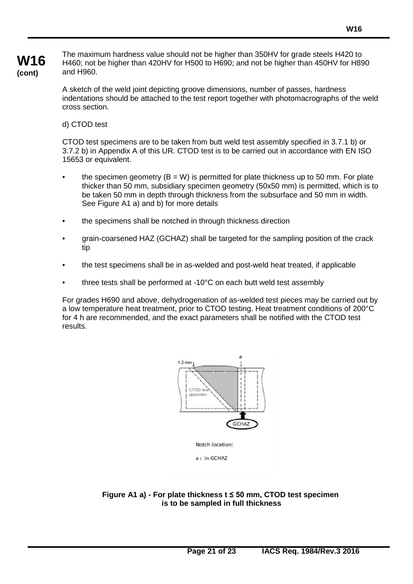The maximum hardness value should not be higher than 350HV for grade steels H420 to H460; not be higher than 420HV for H500 to H690; and not be higher than 450HV for H890 and H960.

A sketch of the weld joint depicting groove dimensions, number of passes, hardness indentations should be attached to the test report together with photomacrographs of the weld cross section.

#### d) CTOD test

CTOD test specimens are to be taken from butt weld test assembly specified in 3.7.1 b) or 3.7.2 b) in Appendix A of this UR. CTOD test is to be carried out in accordance with EN ISO 15653 or equivalent.

- the specimen geometry  $(B = W)$  is permitted for plate thickness up to 50 mm. For plate thicker than 50 mm, subsidiary specimen geometry (50x50 mm) is permitted, which is to be taken 50 mm in depth through thickness from the subsurface and 50 mm in width. See Figure A1 a) and b) for more details
- the specimens shall be notched in through thickness direction
- grain-coarsened HAZ (GCHAZ) shall be targeted for the sampling position of the crack tip
- the test specimens shall be in as-welded and post-weld heat treated, if applicable
- three tests shall be performed at -10°C on each butt weld test assembly

For grades H690 and above, dehydrogenation of as-welded test pieces may be carried out by a low temperature heat treatment, prior to CTOD testing. Heat treatment conditions of 200°C for 4 h are recommended, and the exact parameters shall be notified with the CTOD test results.



**Figure A1 a) - For plate thickness t ≤ 50 mm, CTOD test specimen is to be sampled in full thickness**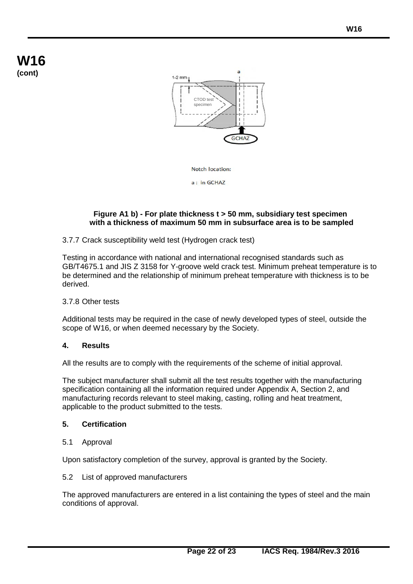# **W16 (cont)**





a : in GCHAZ

#### **Figure A1 b) - For plate thickness t > 50 mm, subsidiary test specimen with a thickness of maximum 50 mm in subsurface area is to be sampled**

#### 3.7.7 Crack susceptibility weld test (Hydrogen crack test)

Testing in accordance with national and international recognised standards such as GB/T4675.1 and JIS Z 3158 for Y-groove weld crack test. Minimum preheat temperature is to be determined and the relationship of minimum preheat temperature with thickness is to be derived.

#### 3.7.8 Other tests

Additional tests may be required in the case of newly developed types of steel, outside the scope of W16, or when deemed necessary by the Society.

#### **4. Results**

All the results are to comply with the requirements of the scheme of initial approval.

The subject manufacturer shall submit all the test results together with the manufacturing specification containing all the information required under Appendix A, Section 2, and manufacturing records relevant to steel making, casting, rolling and heat treatment, applicable to the product submitted to the tests.

#### **5. Certification**

5.1 Approval

Upon satisfactory completion of the survey, approval is granted by the Society.

#### 5.2 List of approved manufacturers

The approved manufacturers are entered in a list containing the types of steel and the main conditions of approval.